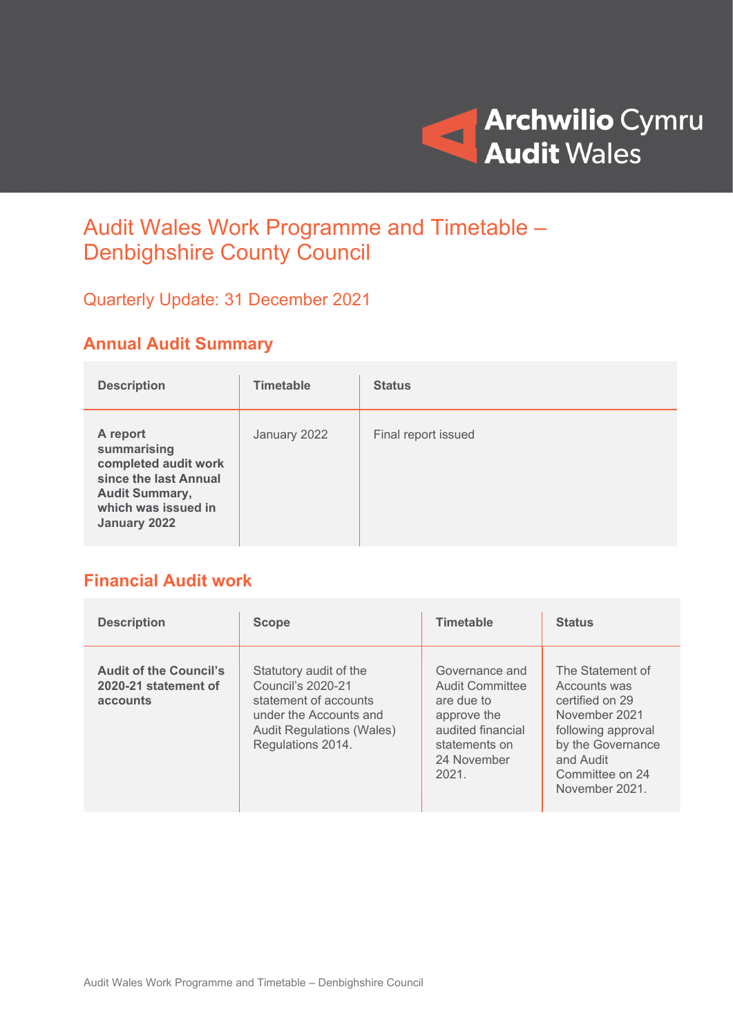

# Audit Wales Work Programme and Timetable – Denbighshire County Council

Quarterly Update: 31 December 2021

#### **Annual Audit Summary**

| <b>Description</b>                                                                                                                       | <b>Timetable</b> | <b>Status</b>       |
|------------------------------------------------------------------------------------------------------------------------------------------|------------------|---------------------|
| A report<br>summarising<br>completed audit work<br>since the last Annual<br><b>Audit Summary,</b><br>which was issued in<br>January 2022 | January 2022     | Final report issued |

#### **Financial Audit work**

| <b>Description</b>                                                | <b>Scope</b>                                                                                                                                            | <b>Timetable</b>                                                                                                                    | <b>Status</b>                                                                                                                                                     |
|-------------------------------------------------------------------|---------------------------------------------------------------------------------------------------------------------------------------------------------|-------------------------------------------------------------------------------------------------------------------------------------|-------------------------------------------------------------------------------------------------------------------------------------------------------------------|
| <b>Audit of the Council's</b><br>2020-21 statement of<br>accounts | Statutory audit of the<br>Council's 2020-21<br>statement of accounts<br>under the Accounts and<br><b>Audit Regulations (Wales)</b><br>Regulations 2014. | Governance and<br><b>Audit Committee</b><br>are due to<br>approve the<br>audited financial<br>statements on<br>24 November<br>2021. | The Statement of<br>Accounts was<br>certified on 29<br>November 2021<br>following approval<br>by the Governance<br>and Audit<br>Committee on 24<br>November 2021. |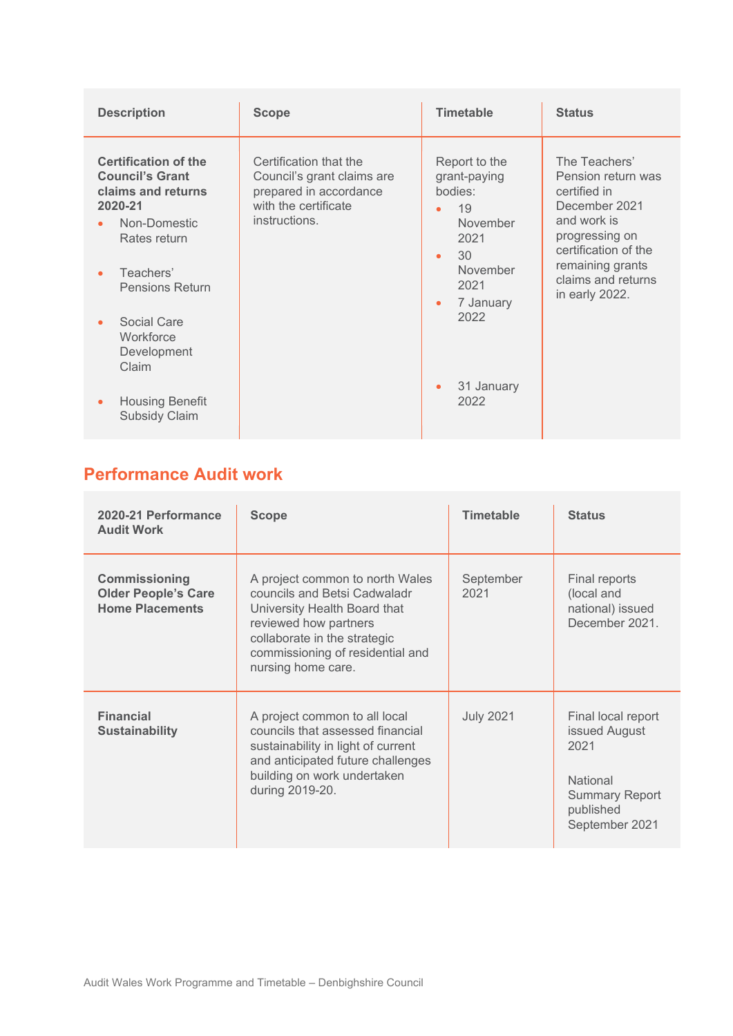| <b>Description</b>                                                                                                                                                         | <b>Scope</b>                                                                                                            | <b>Timetable</b>                                                                                          | <b>Status</b>                                                                                                                                                           |
|----------------------------------------------------------------------------------------------------------------------------------------------------------------------------|-------------------------------------------------------------------------------------------------------------------------|-----------------------------------------------------------------------------------------------------------|-------------------------------------------------------------------------------------------------------------------------------------------------------------------------|
| <b>Certification of the</b><br><b>Council's Grant</b><br>claims and returns<br>2020-21<br>Non-Domestic<br>Rates return<br>Teachers'<br>$\bullet$<br><b>Pensions Return</b> | Certification that the<br>Council's grant claims are<br>prepared in accordance<br>with the certificate<br>instructions. | Report to the<br>grant-paying<br>bodies:<br>19<br>November<br>2021<br>30<br>$\bullet$<br>November<br>2021 | The Teachers'<br>Pension return was<br>certified in<br>December 2021<br>and work is<br>progressing on<br>certification of the<br>remaining grants<br>claims and returns |
| Social Care<br>Workforce<br>Development<br>Claim                                                                                                                           |                                                                                                                         | 7 January<br>$\bullet$<br>2022<br>31 January<br>$\bullet$<br>2022                                         | in early 2022.                                                                                                                                                          |
| <b>Housing Benefit</b><br><b>Subsidy Claim</b>                                                                                                                             |                                                                                                                         |                                                                                                           |                                                                                                                                                                         |

### **Performance Audit work**

| 2020-21 Performance<br><b>Audit Work</b>                              | <b>Scope</b>                                                                                                                                                                                                       | <b>Timetable</b>  | <b>Status</b>                                                                                                          |
|-----------------------------------------------------------------------|--------------------------------------------------------------------------------------------------------------------------------------------------------------------------------------------------------------------|-------------------|------------------------------------------------------------------------------------------------------------------------|
| Commissioning<br><b>Older People's Care</b><br><b>Home Placements</b> | A project common to north Wales<br>councils and Betsi Cadwaladr<br>University Health Board that<br>reviewed how partners<br>collaborate in the strategic<br>commissioning of residential and<br>nursing home care. | September<br>2021 | Final reports<br>(local and<br>national) issued<br>December 2021.                                                      |
| <b>Financial</b><br><b>Sustainability</b>                             | A project common to all local<br>councils that assessed financial<br>sustainability in light of current<br>and anticipated future challenges<br>building on work undertaken<br>during 2019-20.                     | <b>July 2021</b>  | Final local report<br>issued August<br>2021<br><b>National</b><br><b>Summary Report</b><br>published<br>September 2021 |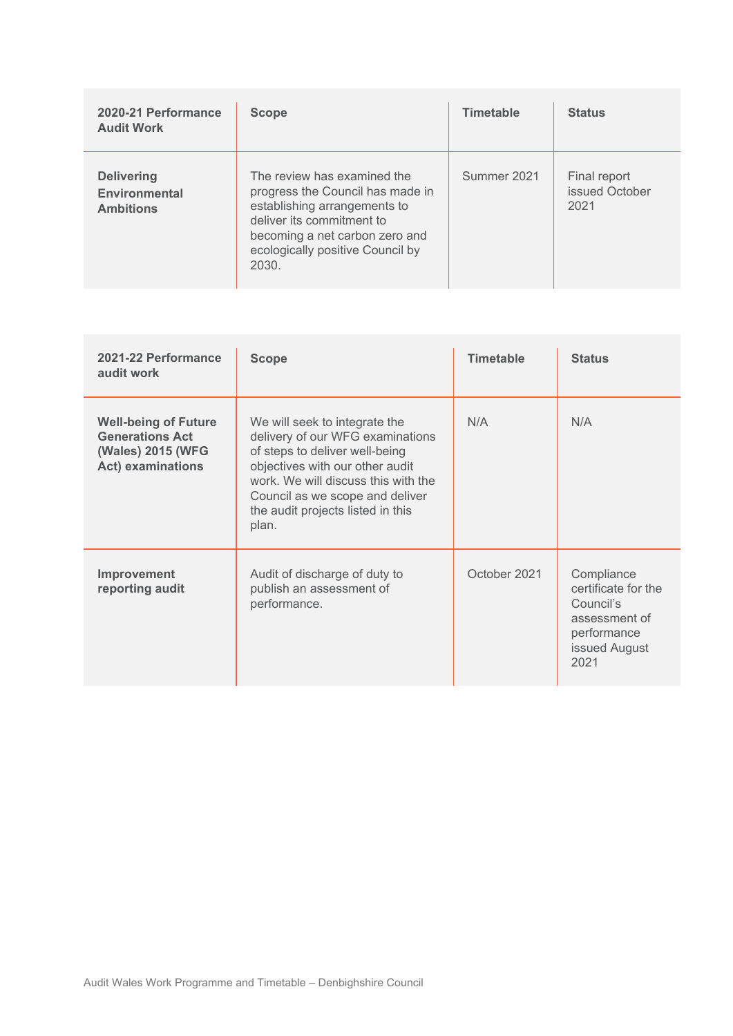| 2020-21 Performance<br><b>Audit Work</b>                      | <b>Scope</b>                                                                                                                                                                                                | <b>Timetable</b> | <b>Status</b>                          |
|---------------------------------------------------------------|-------------------------------------------------------------------------------------------------------------------------------------------------------------------------------------------------------------|------------------|----------------------------------------|
| <b>Delivering</b><br><b>Environmental</b><br><b>Ambitions</b> | The review has examined the<br>progress the Council has made in<br>establishing arrangements to<br>deliver its commitment to<br>becoming a net carbon zero and<br>ecologically positive Council by<br>2030. | Summer 2021      | Final report<br>issued October<br>2021 |

| 2021-22 Performance<br>audit work                                                                      | <b>Scope</b>                                                                                                                                                                                                                                                   | <b>Timetable</b> | <b>Status</b>                                                                                           |
|--------------------------------------------------------------------------------------------------------|----------------------------------------------------------------------------------------------------------------------------------------------------------------------------------------------------------------------------------------------------------------|------------------|---------------------------------------------------------------------------------------------------------|
| <b>Well-being of Future</b><br><b>Generations Act</b><br>(Wales) 2015 (WFG<br><b>Act) examinations</b> | We will seek to integrate the<br>delivery of our WFG examinations<br>of steps to deliver well-being<br>objectives with our other audit<br>work. We will discuss this with the<br>Council as we scope and deliver<br>the audit projects listed in this<br>plan. | N/A              | N/A                                                                                                     |
| Improvement<br>reporting audit                                                                         | Audit of discharge of duty to<br>publish an assessment of<br>performance.                                                                                                                                                                                      | October 2021     | Compliance<br>certificate for the<br>Council's<br>assessment of<br>performance<br>issued August<br>2021 |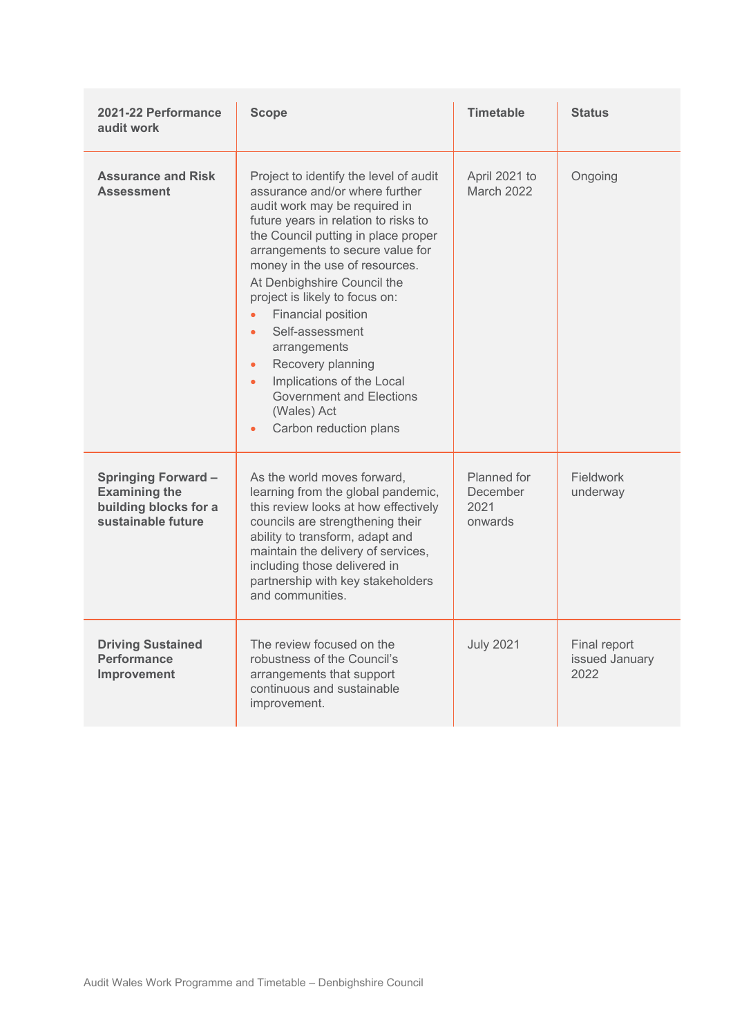| 2021-22 Performance<br>audit work                                                                 | <b>Scope</b>                                                                                                                                                                                                                                                                                                                                                                                                                                                                                                                                                                     | <b>Timetable</b>                                  | <b>Status</b>                          |
|---------------------------------------------------------------------------------------------------|----------------------------------------------------------------------------------------------------------------------------------------------------------------------------------------------------------------------------------------------------------------------------------------------------------------------------------------------------------------------------------------------------------------------------------------------------------------------------------------------------------------------------------------------------------------------------------|---------------------------------------------------|----------------------------------------|
| <b>Assurance and Risk</b><br><b>Assessment</b>                                                    | Project to identify the level of audit<br>assurance and/or where further<br>audit work may be required in<br>future years in relation to risks to<br>the Council putting in place proper<br>arrangements to secure value for<br>money in the use of resources.<br>At Denbighshire Council the<br>project is likely to focus on:<br>Financial position<br>$\bullet$<br>Self-assessment<br>$\bullet$<br>arrangements<br>Recovery planning<br>$\bullet$<br>Implications of the Local<br>$\bullet$<br>Government and Elections<br>(Wales) Act<br>Carbon reduction plans<br>$\bullet$ | April 2021 to<br><b>March 2022</b>                | Ongoing                                |
| <b>Springing Forward -</b><br><b>Examining the</b><br>building blocks for a<br>sustainable future | As the world moves forward,<br>learning from the global pandemic,<br>this review looks at how effectively<br>councils are strengthening their<br>ability to transform, adapt and<br>maintain the delivery of services,<br>including those delivered in<br>partnership with key stakeholders<br>and communities.                                                                                                                                                                                                                                                                  | <b>Planned</b> for<br>December<br>2021<br>onwards | <b>Fieldwork</b><br>underway           |
| <b>Driving Sustained</b><br><b>Performance</b><br>Improvement                                     | The review focused on the<br>robustness of the Council's<br>arrangements that support<br>continuous and sustainable<br>improvement.                                                                                                                                                                                                                                                                                                                                                                                                                                              | <b>July 2021</b>                                  | Final report<br>issued January<br>2022 |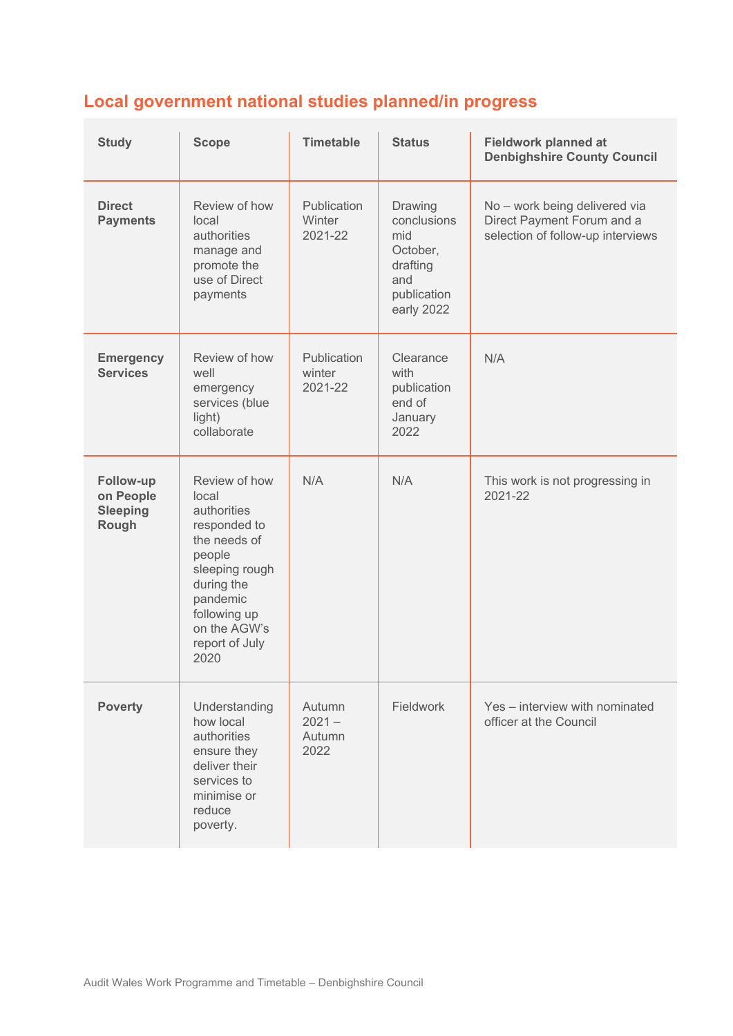## **Local government national studies planned/in progress**

| <b>Study</b>                                       | <b>Scope</b>                                                                                                                                                                          | <b>Timetable</b>                     | <b>Status</b>                                                                             | <b>Fieldwork planned at</b><br><b>Denbighshire County Council</b>                                |
|----------------------------------------------------|---------------------------------------------------------------------------------------------------------------------------------------------------------------------------------------|--------------------------------------|-------------------------------------------------------------------------------------------|--------------------------------------------------------------------------------------------------|
| <b>Direct</b><br><b>Payments</b>                   | Review of how<br>local<br>authorities<br>manage and<br>promote the<br>use of Direct<br>payments                                                                                       | Publication<br>Winter<br>2021-22     | Drawing<br>conclusions<br>mid<br>October,<br>drafting<br>and<br>publication<br>early 2022 | No - work being delivered via<br>Direct Payment Forum and a<br>selection of follow-up interviews |
| <b>Emergency</b><br><b>Services</b>                | Review of how<br>well<br>emergency<br>services (blue<br>light)<br>collaborate                                                                                                         | Publication<br>winter<br>2021-22     | Clearance<br>with<br>publication<br>end of<br>January<br>2022                             | N/A                                                                                              |
| Follow-up<br>on People<br><b>Sleeping</b><br>Rough | Review of how<br>local<br>authorities<br>responded to<br>the needs of<br>people<br>sleeping rough<br>during the<br>pandemic<br>following up<br>on the AGW's<br>report of July<br>2020 | N/A                                  | N/A                                                                                       | This work is not progressing in<br>2021-22                                                       |
| <b>Poverty</b>                                     | Understanding<br>how local<br>authorities<br>ensure they<br>deliver their<br>services to<br>minimise or<br>reduce<br>poverty.                                                         | Autumn<br>$2021 -$<br>Autumn<br>2022 | <b>Fieldwork</b>                                                                          | Yes - interview with nominated<br>officer at the Council                                         |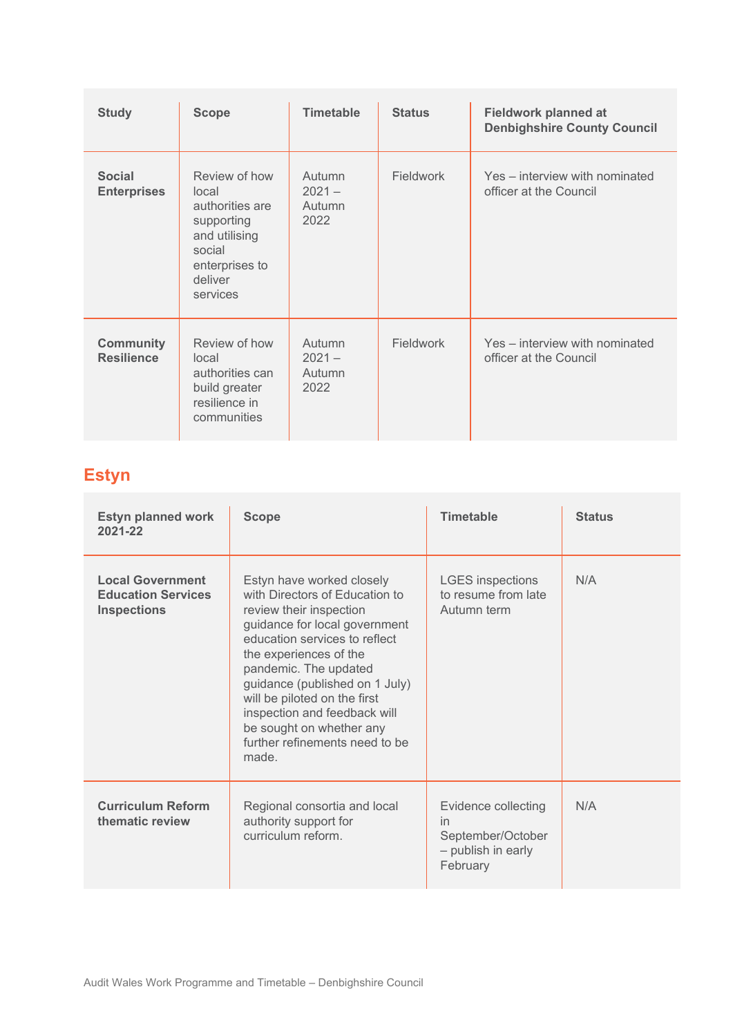| <b>Study</b>                          | <b>Scope</b>                                                                                                                | <b>Timetable</b>                     | <b>Status</b>    | <b>Fieldwork planned at</b><br><b>Denbighshire County Council</b> |
|---------------------------------------|-----------------------------------------------------------------------------------------------------------------------------|--------------------------------------|------------------|-------------------------------------------------------------------|
| <b>Social</b><br><b>Enterprises</b>   | Review of how<br>local<br>authorities are<br>supporting<br>and utilising<br>social<br>enterprises to<br>deliver<br>services | Autumn<br>$2021 -$<br>Autumn<br>2022 | <b>Fieldwork</b> | Yes – interview with nominated<br>officer at the Council          |
| <b>Community</b><br><b>Resilience</b> | Review of how<br>local<br>authorities can<br>build greater<br>resilience in<br>communities                                  | Autumn<br>$2021 -$<br>Autumn<br>2022 | Fieldwork        | Yes – interview with nominated<br>officer at the Council          |

## **Estyn**

| <b>Estyn planned work</b><br>2021-22                                       | <b>Scope</b>                                                                                                                                                                                                                                                                                                                                                                         | <b>Timetable</b>                                                                 | <b>Status</b> |
|----------------------------------------------------------------------------|--------------------------------------------------------------------------------------------------------------------------------------------------------------------------------------------------------------------------------------------------------------------------------------------------------------------------------------------------------------------------------------|----------------------------------------------------------------------------------|---------------|
| <b>Local Government</b><br><b>Education Services</b><br><b>Inspections</b> | Estyn have worked closely<br>with Directors of Education to<br>review their inspection<br>guidance for local government<br>education services to reflect<br>the experiences of the<br>pandemic. The updated<br>guidance (published on 1 July)<br>will be piloted on the first<br>inspection and feedback will<br>be sought on whether any<br>further refinements need to be<br>made. | <b>LGES</b> inspections<br>to resume from late<br>Autumn term                    | N/A           |
| <b>Curriculum Reform</b><br>thematic review                                | Regional consortia and local<br>authority support for<br>curriculum reform.                                                                                                                                                                                                                                                                                                          | Evidence collecting<br>in<br>September/October<br>- publish in early<br>February | N/A           |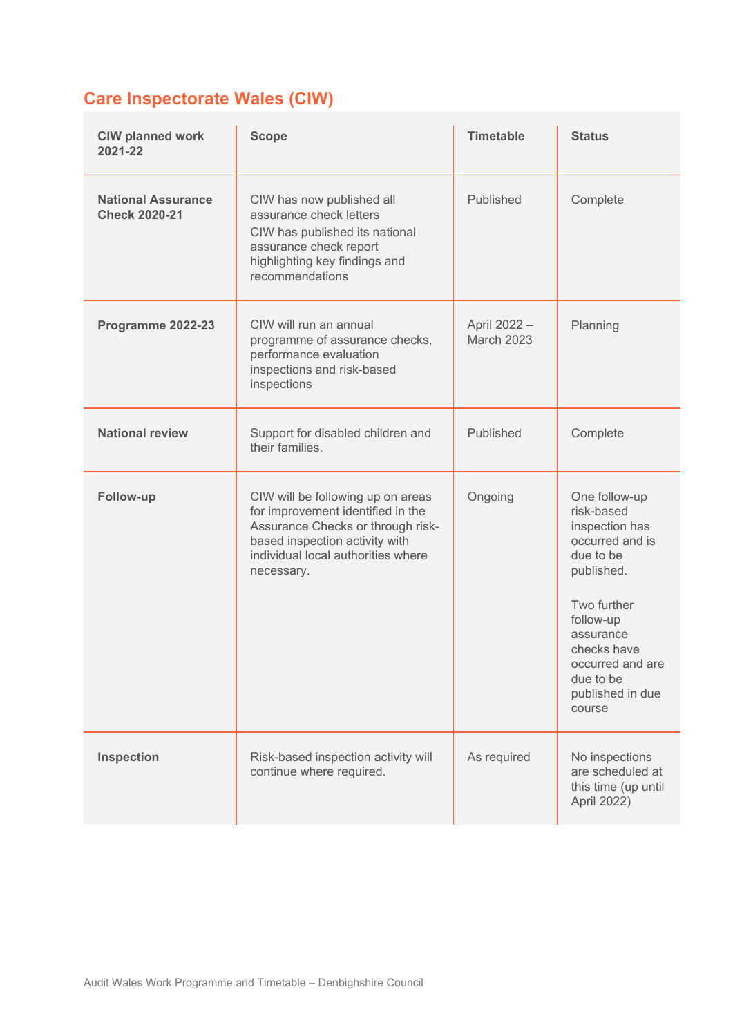# **Care Inspectorate Wales (CIW)**

| <b>CIW planned work</b><br>2021-22                | <b>Scope</b>                                                                                                                                                                                      | <b>Timetable</b>                  | <b>Status</b>                                                                                                                                                                                                      |
|---------------------------------------------------|---------------------------------------------------------------------------------------------------------------------------------------------------------------------------------------------------|-----------------------------------|--------------------------------------------------------------------------------------------------------------------------------------------------------------------------------------------------------------------|
| <b>National Assurance</b><br><b>Check 2020-21</b> | CIW has now published all<br>assurance check letters<br>CIW has published its national<br>assurance check report<br>highlighting key findings and<br>recommendations                              | Published                         | Complete                                                                                                                                                                                                           |
| Programme 2022-23                                 | CIW will run an annual<br>programme of assurance checks,<br>performance evaluation<br>inspections and risk-based<br>inspections                                                                   | April 2022 -<br><b>March 2023</b> | Planning                                                                                                                                                                                                           |
| <b>National review</b>                            | Support for disabled children and<br>their families.                                                                                                                                              | Published                         | Complete                                                                                                                                                                                                           |
| Follow-up                                         | CIW will be following up on areas<br>for improvement identified in the<br>Assurance Checks or through risk-<br>based inspection activity with<br>individual local authorities where<br>necessary. | Ongoing                           | One follow-up<br>risk-based<br>inspection has<br>occurred and is<br>due to be<br>published.<br>Two further<br>follow-up<br>assurance<br>checks have<br>occurred and are<br>due to be<br>published in due<br>course |
| Inspection                                        | Risk-based inspection activity will<br>continue where required.                                                                                                                                   | As required                       | No inspections<br>are scheduled at<br>this time (up until<br>April 2022)                                                                                                                                           |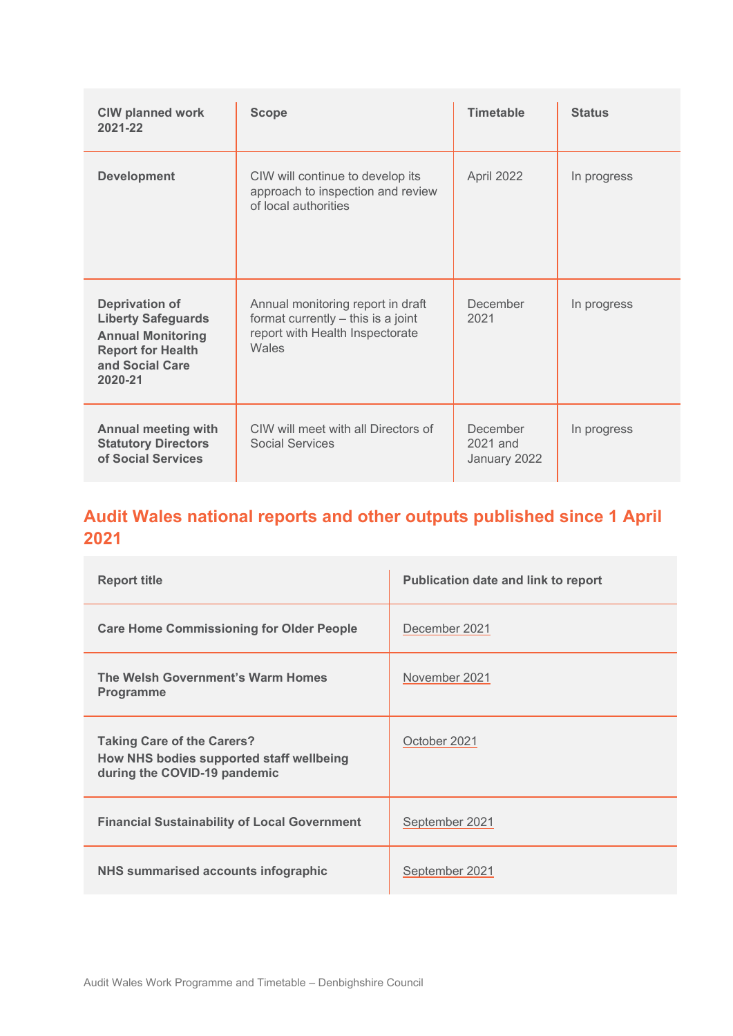| <b>CIW planned work</b><br>2021-22                                                                                                       | <b>Scope</b>                                                                                                        | <b>Timetable</b>                       | <b>Status</b> |
|------------------------------------------------------------------------------------------------------------------------------------------|---------------------------------------------------------------------------------------------------------------------|----------------------------------------|---------------|
| <b>Development</b>                                                                                                                       | CIW will continue to develop its<br>approach to inspection and review<br>of local authorities                       | April 2022                             | In progress   |
| <b>Deprivation of</b><br><b>Liberty Safeguards</b><br><b>Annual Monitoring</b><br><b>Report for Health</b><br>and Social Care<br>2020-21 | Annual monitoring report in draft<br>format currently - this is a joint<br>report with Health Inspectorate<br>Wales | December<br>2021                       | In progress   |
| <b>Annual meeting with</b><br><b>Statutory Directors</b><br>of Social Services                                                           | CIW will meet with all Directors of<br>Social Services                                                              | December<br>$2021$ and<br>January 2022 | In progress   |

### **Audit Wales national reports and other outputs published since 1 April 2021**

| <b>Report title</b>                                                                                           | Publication date and link to report |
|---------------------------------------------------------------------------------------------------------------|-------------------------------------|
| <b>Care Home Commissioning for Older People</b>                                                               | December 2021                       |
| The Welsh Government's Warm Homes<br><b>Programme</b>                                                         | November 2021                       |
| <b>Taking Care of the Carers?</b><br>How NHS bodies supported staff wellbeing<br>during the COVID-19 pandemic | October 2021                        |
| <b>Financial Sustainability of Local Government</b>                                                           | September 2021                      |
| NHS summarised accounts infographic                                                                           | September 2021                      |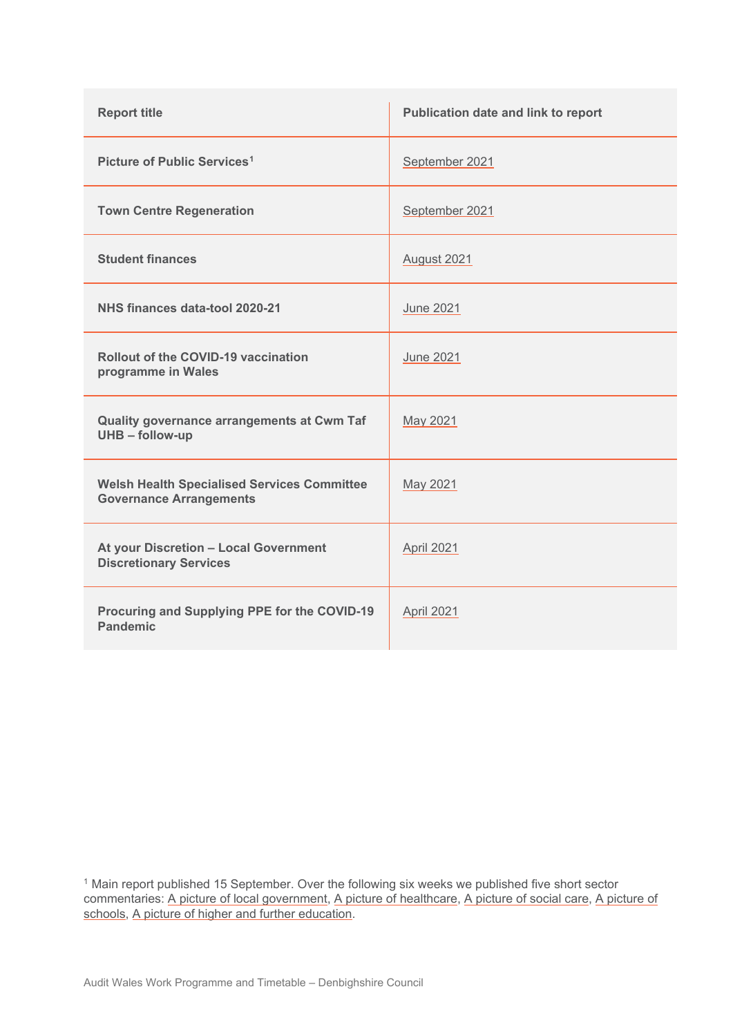| <b>Report title</b>                                                                  | <b>Publication date and link to report</b> |
|--------------------------------------------------------------------------------------|--------------------------------------------|
| Picture of Public Services <sup>1</sup>                                              | September 2021                             |
| <b>Town Centre Regeneration</b>                                                      | September 2021                             |
| <b>Student finances</b>                                                              | August 2021                                |
| NHS finances data-tool 2020-21                                                       | <b>June 2021</b>                           |
| <b>Rollout of the COVID-19 vaccination</b><br>programme in Wales                     | <b>June 2021</b>                           |
| Quality governance arrangements at Cwm Taf<br>UHB - follow-up                        | May 2021                                   |
| <b>Welsh Health Specialised Services Committee</b><br><b>Governance Arrangements</b> | May 2021                                   |
| At your Discretion - Local Government<br><b>Discretionary Services</b>               | <b>April 2021</b>                          |
| Procuring and Supplying PPE for the COVID-19<br>Pandemic                             | April 2021                                 |

<span id="page-8-0"></span><sup>1</sup> Main report published 15 September. Over the following six weeks we published five short sector commentaries: [A picture of local government,](https://www.audit.wales/publication/picture-local-government) [A picture of healthcare,](https://www.audit.wales/publication/picture-healthcare) [A picture of social care,](https://www.audit.wales/publication/picture-social-care) [A picture of](https://www.audit.wales/publication/picture-schools)  [schools,](https://www.audit.wales/publication/picture-schools) [A picture of higher and further education.](https://www.audit.wales/publication/picture-higher-and-further-education)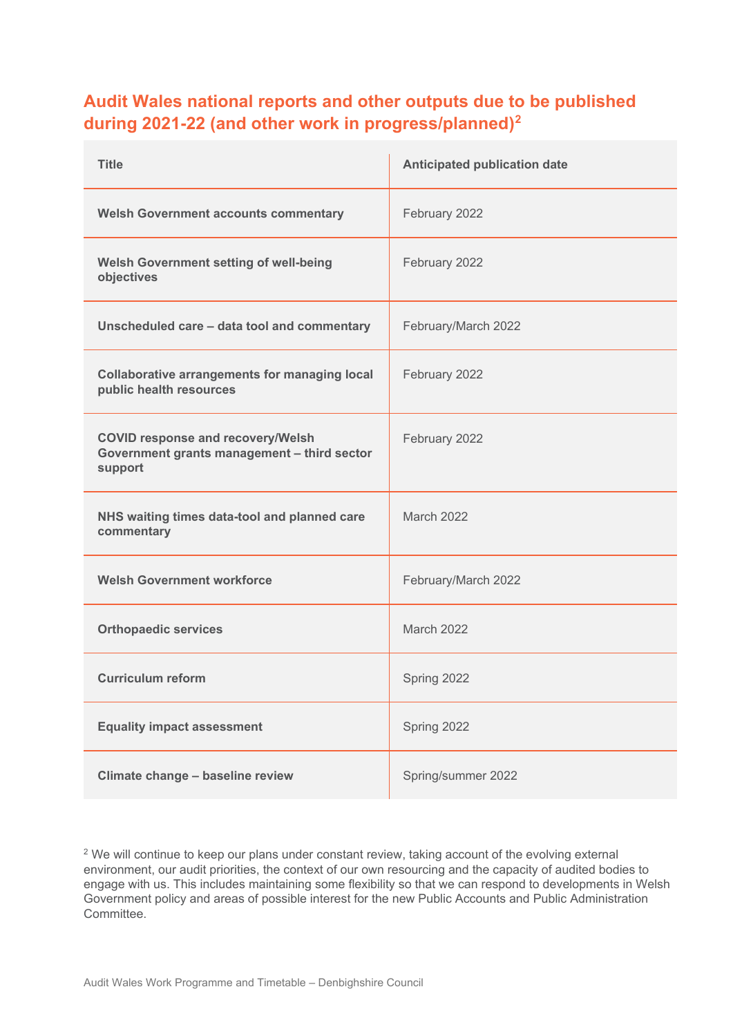### **Audit Wales national reports and other outputs due to be published during 2021-22 (and other work in progress/planned)[2](#page-9-0)**

| <b>Title</b>                                                                                       | <b>Anticipated publication date</b> |
|----------------------------------------------------------------------------------------------------|-------------------------------------|
| <b>Welsh Government accounts commentary</b>                                                        | February 2022                       |
| <b>Welsh Government setting of well-being</b><br>objectives                                        | February 2022                       |
| Unscheduled care - data tool and commentary                                                        | February/March 2022                 |
| <b>Collaborative arrangements for managing local</b><br>public health resources                    | February 2022                       |
| <b>COVID response and recovery/Welsh</b><br>Government grants management - third sector<br>support | February 2022                       |
| NHS waiting times data-tool and planned care<br>commentary                                         | March 2022                          |
| <b>Welsh Government workforce</b>                                                                  | February/March 2022                 |
| <b>Orthopaedic services</b>                                                                        | March 2022                          |
| <b>Curriculum reform</b>                                                                           | Spring 2022                         |
| <b>Equality impact assessment</b>                                                                  | Spring 2022                         |
| Climate change - baseline review                                                                   | Spring/summer 2022                  |

<span id="page-9-0"></span><sup>2</sup> We will continue to keep our plans under constant review, taking account of the evolving external environment, our audit priorities, the context of our own resourcing and the capacity of audited bodies to engage with us. This includes maintaining some flexibility so that we can respond to developments in Welsh Government policy and areas of possible interest for the new Public Accounts and Public Administration Committee.